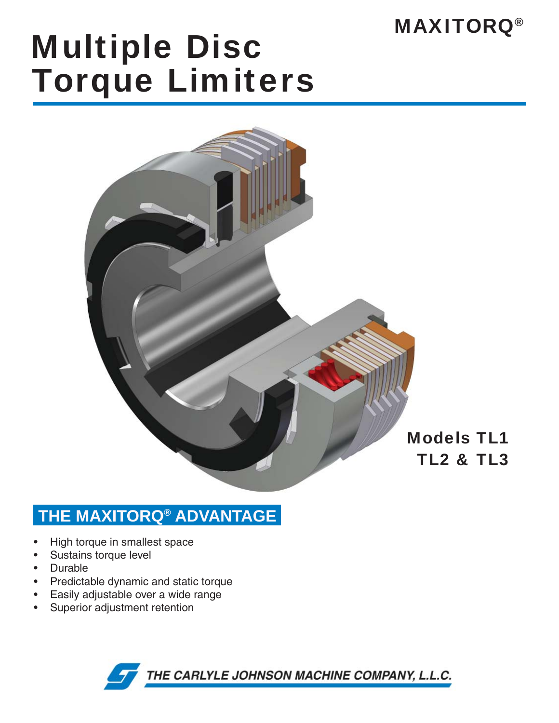## MAXITORQ®

# Multiple Disc Torque Limiters



### **THE MAXITORQ® ADVANTAGE**

- High torque in smallest space •
- Sustains torque level •
- Durable •
- Predictable dynamic and static torque •
- Easily adjustable over a wide range •
- Superior adjustment retention •

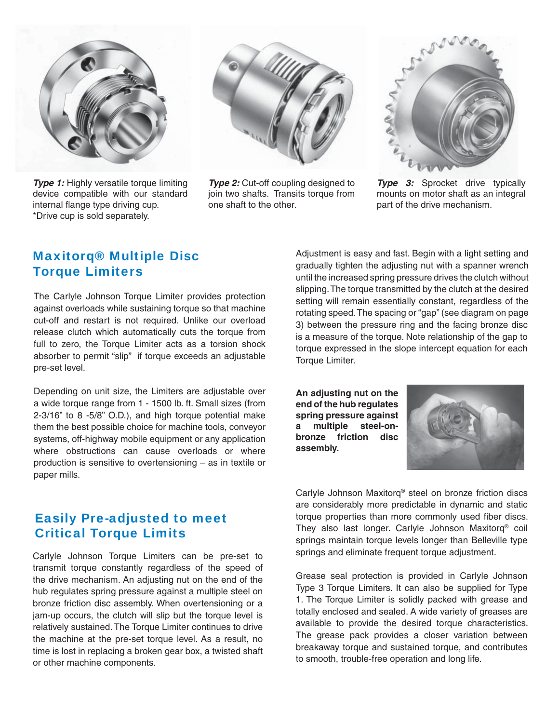

**Type 1:** Highly versatile torque limiting device compatible with our standard internal flange type driving cup. \*Drive cup is sold separately.



*Type 2:* Cut-off coupling designed to join two shafts. Transits torque from one shaft to the other.



**Type 3:** Sprocket drive typically mounts on motor shaft as an integral part of the drive mechanism.

#### Maxitorq® Multiple Disc Torque Limiters

The Carlyle Johnson Torque Limiter provides protection against overloads while sustaining torque so that machine cut-off and restart is not required. Unlike our overload release clutch which automatically cuts the torque from full to zero, the Torque Limiter acts as a torsion shock absorber to permit "slip" if torque exceeds an adjustable pre-set level.

Depending on unit size, the Limiters are adjustable over a wide torque range from 1 - 1500 lb. ft. Small sizes (from 2-3/16" to 8 -5/8" O.D.), and high torque potential make them the best possible choice for machine tools, conveyor systems, off-highway mobile equipment or any application where obstructions can cause overloads or where production is sensitive to overtensioning – as in textile or paper mills.

#### Easily Pre-adjusted to meet Critical Torque Limits

Carlyle Johnson Torque Limiters can be pre-set to transmit torque constantly regardless of the speed of the drive mechanism. An adjusting nut on the end of the hub regulates spring pressure against a multiple steel on bronze friction disc assembly. When overtensioning or a jam-up occurs, the clutch will slip but the torque level is relatively sustained. The Torque Limiter continues to drive the machine at the pre-set torque level. As a result, no time is lost in replacing a broken gear box, a twisted shaft or other machine components.

Adjustment is easy and fast. Begin with a light setting and gradually tighten the adjusting nut with a spanner wrench until the increased spring pressure drives the clutch without slipping. The torque transmitted by the clutch at the desired setting will remain essentially constant, regardless of the rotating speed. The spacing or "gap" (see diagram on page 3) between the pressure ring and the facing bronze disc is a measure of the torque. Note relationship of the gap to torque expressed in the slope intercept equation for each Torque Limiter.

**An adjusting nut on the end of the hub regulates spring pressure against a multiple steel-onbronze friction disc assembly.** 



Carlyle Johnson Maxitorq® steel on bronze friction discs are considerably more predictable in dynamic and static torque properties than more commonly used fiber discs. They also last longer. Carlyle Johnson Maxitorq® coil springs maintain torque levels longer than Belleville type springs and eliminate frequent torque adjustment.

Grease seal protection is provided in Carlyle Johnson Type 3 Torque Limiters. It can also be supplied for Type 1. The Torque Limiter is solidly packed with grease and totally enclosed and sealed. A wide variety of greases are available to provide the desired torque characteristics. The grease pack provides a closer variation between breakaway torque and sustained torque, and contributes to smooth, trouble-free operation and long life.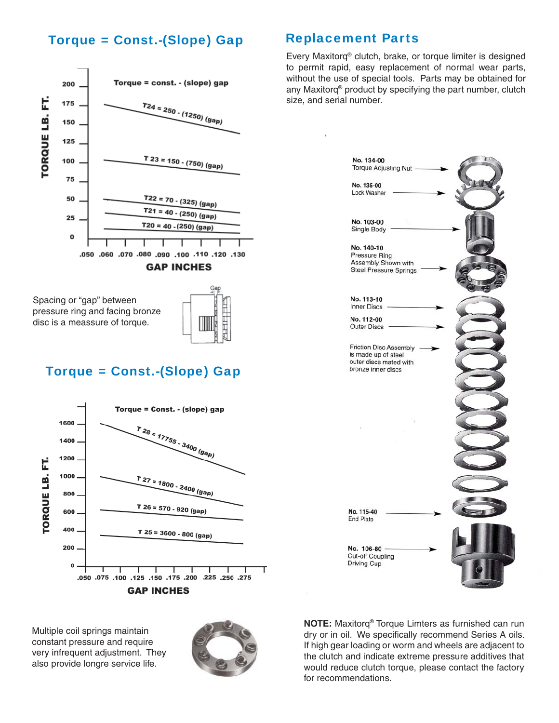#### Torque = Const.-(Slope) Gap



Spacing or "gap" between pressure ring and facing bronze disc is a meassure of torque.



#### Torque = Const.-(Slope) Gap



Multiple coil springs maintain constant pressure and require very infrequent adjustment. They also provide longre service life.



#### Replacement Parts

Every Maxitorq® clutch, brake, or torque limiter is designed to permit rapid, easy replacement of normal wear parts, without the use of special tools. Parts may be obtained for any Maxitorq® product by specifying the part number, clutch size, and serial number.



**NOTE:** Maxitorq® Torque Limters as furnished can run dry or in oil. We specifically recommend Series A oils. If high gear loading or worm and wheels are adjacent to the clutch and indicate extreme pressure additives that would reduce clutch torque, please contact the factory for recommendations.